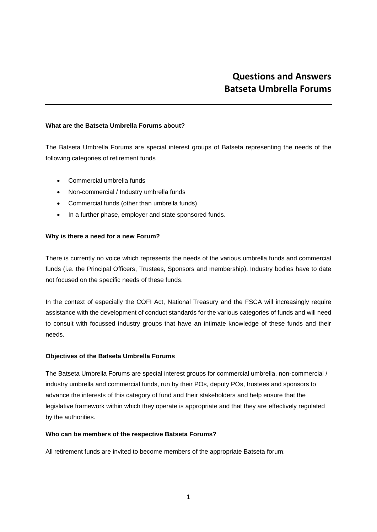# **Questions and Answers Batseta Umbrella Forums**

### **What are the Batseta Umbrella Forums about?**

The Batseta Umbrella Forums are special interest groups of Batseta representing the needs of the following categories of retirement funds

- Commercial umbrella funds
- Non-commercial / Industry umbrella funds
- Commercial funds (other than umbrella funds),
- In a further phase, employer and state sponsored funds.

## **Why is there a need for a new Forum?**

There is currently no voice which represents the needs of the various umbrella funds and commercial funds (i.e. the Principal Officers, Trustees, Sponsors and membership). Industry bodies have to date not focused on the specific needs of these funds.

In the context of especially the COFI Act, National Treasury and the FSCA will increasingly require assistance with the development of conduct standards for the various categories of funds and will need to consult with focussed industry groups that have an intimate knowledge of these funds and their needs.

## **Objectives of the Batseta Umbrella Forums**

The Batseta Umbrella Forums are special interest groups for commercial umbrella, non-commercial / industry umbrella and commercial funds, run by their POs, deputy POs, trustees and sponsors to advance the interests of this category of fund and their stakeholders and help ensure that the legislative framework within which they operate is appropriate and that they are effectively regulated by the authorities.

#### **Who can be members of the respective Batseta Forums?**

All retirement funds are invited to become members of the appropriate Batseta forum.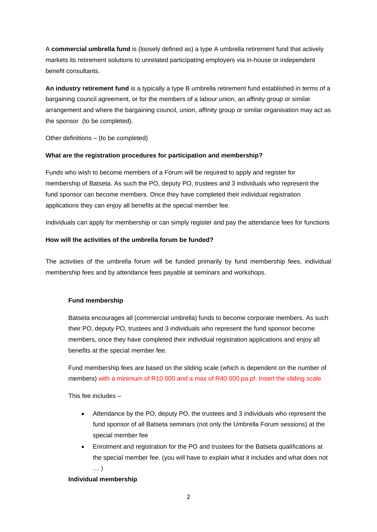A **commercial umbrella fund** is (loosely defined as) a type A umbrella retirement fund that actively markets its retirement solutions to unrelated participating employers via in-house or independent benefit consultants.

**An industry retirement fund** is a typically a type B umbrella retirement fund established in terms of a bargaining council agreement, or for the members of a labour union, an affinity group or similar arrangement and where the bargaining council, union, affinity group or similar organisation may act as the sponsor (to be completed).

Other definitions – (to be completed)

# **What are the registration procedures for participation and membership?**

Funds who wish to become members of a Forum will be required to apply and register for membership of Batseta. As such the PO, deputy PO, trustees and 3 individuals who represent the fund sponsor can become members. Once they have completed their individual registration applications they can enjoy all benefits at the special member fee.

Individuals can apply for membership or can simply register and pay the attendance fees for functions

# **How will the activities of the umbrella forum be funded?**

The activities of the umbrella forum will be funded primarily by fund membership fees, individual membership fees and by attendance fees payable at seminars and workshops.

## **Fund membership**

Batseta encourages all (commercial umbrella) funds to become corporate members. As such their PO, deputy PO, trustees and 3 individuals who represent the fund sponsor become members, once they have completed their individual registration applications and enjoy all benefits at the special member fee.

Fund membership fees are based on the sliding scale (which is dependent on the number of members) with a minimum of R10 000 and a max of R40 000 pa pf. Insert the sliding scale

This fee includes –

- Attendance by the PO, deputy PO, the trustees and 3 individuals who represent the fund sponsor of all Batseta seminars (not only the Umbrella Forum sessions) at the special member fee
- Enrolment and registration for the PO and trustees for the Batseta qualifications at the special member fee. (you will have to explain what it includes and what does not … )

## **Individual membership**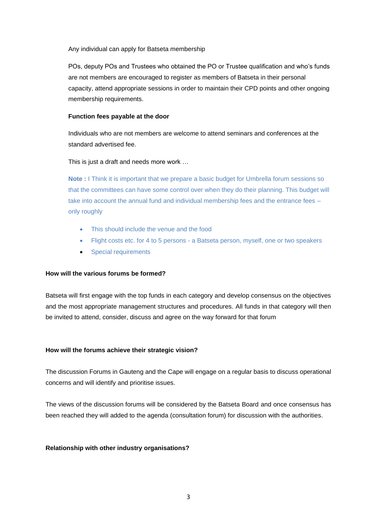Any individual can apply for Batseta membership

POs, deputy POs and Trustees who obtained the PO or Trustee qualification and who's funds are not members are encouraged to register as members of Batseta in their personal capacity, attend appropriate sessions in order to maintain their CPD points and other ongoing membership requirements.

### **Function fees payable at the door**

Individuals who are not members are welcome to attend seminars and conferences at the standard advertised fee.

This is just a draft and needs more work …

**Note :** I Think it is important that we prepare a basic budget for Umbrella forum sessions so that the committees can have some control over when they do their planning. This budget will take into account the annual fund and individual membership fees and the entrance fees – only roughly

- This should include the venue and the food
- Flight costs etc. for 4 to 5 persons a Batseta person, myself, one or two speakers
- Special requirements

## **How will the various forums be formed?**

Batseta will first engage with the top funds in each category and develop consensus on the objectives and the most appropriate management structures and procedures. All funds in that category will then be invited to attend, consider, discuss and agree on the way forward for that forum

#### **How will the forums achieve their strategic vision?**

The discussion Forums in Gauteng and the Cape will engage on a regular basis to discuss operational concerns and will identify and prioritise issues.

The views of the discussion forums will be considered by the Batseta Board and once consensus has been reached they will added to the agenda (consultation forum) for discussion with the authorities.

#### **Relationship with other industry organisations?**